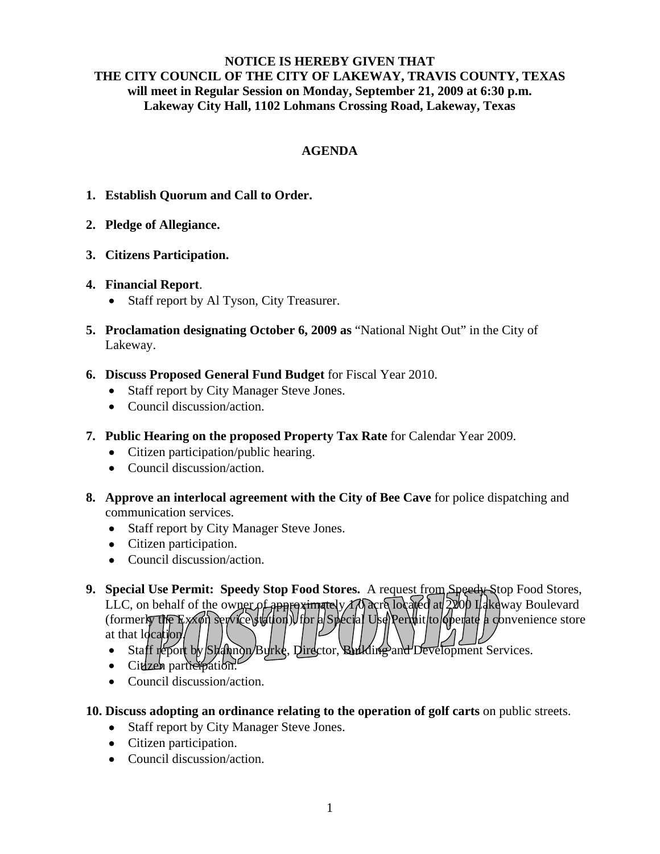## **NOTICE IS HEREBY GIVEN THAT THE CITY COUNCIL OF THE CITY OF LAKEWAY, TRAVIS COUNTY, TEXAS will meet in Regular Session on Monday, September 21, 2009 at 6:30 p.m. Lakeway City Hall, 1102 Lohmans Crossing Road, Lakeway, Texas**

## **AGENDA**

- **1. Establish Quorum and Call to Order.**
- **2. Pledge of Allegiance.**
- **3. Citizens Participation.**
- **4. Financial Report**.
	- Staff report by Al Tyson, City Treasurer.
- **5. Proclamation designating October 6, 2009 as** "National Night Out" in the City of Lakeway.
- **6. Discuss Proposed General Fund Budget** for Fiscal Year 2010.
	- Staff report by City Manager Steve Jones.
	- Council discussion/action.
- **7. Public Hearing on the proposed Property Tax Rate** for Calendar Year 2009.
	- Citizen participation/public hearing.
	- Council discussion/action.
- **8. Approve an interlocal agreement with the City of Bee Cave** for police dispatching and communication services.
	- Staff report by City Manager Steve Jones.
	- Citizen participation.
	- Council discussion/action.
- 9. **Special Use Permit: Speedy Stop Food Stores.** A request from Speedy Stop Food Stores, LLC, on behalf of the owner of approximately  $\Lambda$  acre located at  $2000$  Lakeway Boulevard (formerly the Exxon service station) for a Special Use Permit to operate a convenience store at that location/
	- Staff report by Stannon/Burke, Director, Building and Development Services.
	- Citizen participation.
	- Council discussion/action.
- **10. Discuss adopting an ordinance relating to the operation of golf carts** on public streets.
	- Staff report by City Manager Steve Jones.
	- Citizen participation.
	- Council discussion/action.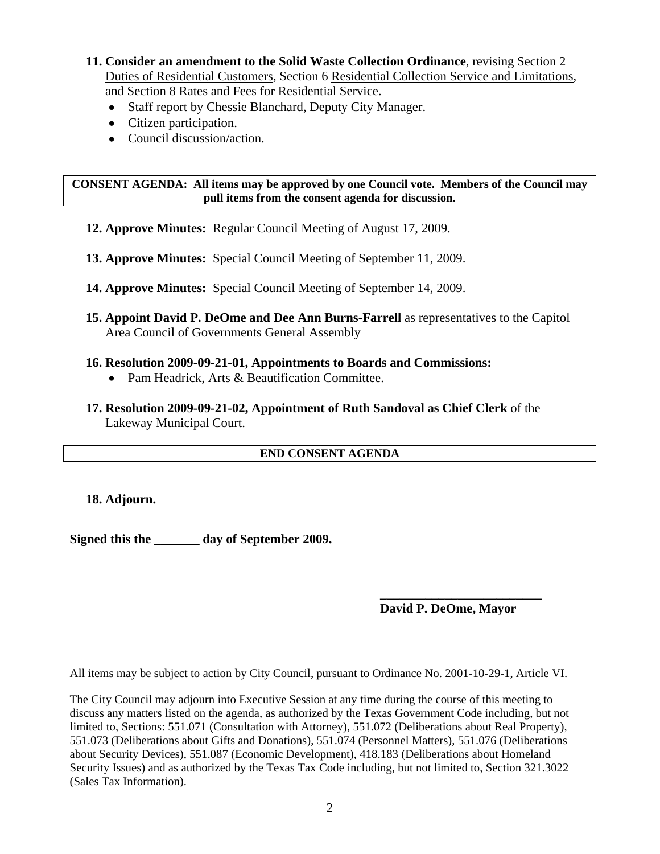- **11. Consider an amendment to the Solid Waste Collection Ordinance**, revising Section 2 Duties of Residential Customers, Section 6 Residential Collection Service and Limitations, and Section 8 Rates and Fees for Residential Service.
	- Staff report by Chessie Blanchard, Deputy City Manager.
	- Citizen participation.
	- Council discussion/action.

**CONSENT AGENDA: All items may be approved by one Council vote. Members of the Council may pull items from the consent agenda for discussion.** 

- **12. Approve Minutes:** Regular Council Meeting of August 17, 2009.
- **13. Approve Minutes:** Special Council Meeting of September 11, 2009.
- **14. Approve Minutes:** Special Council Meeting of September 14, 2009.
- **15. Appoint David P. DeOme and Dee Ann Burns-Farrell** as representatives to the Capitol Area Council of Governments General Assembly
- **16. Resolution 2009-09-21-01, Appointments to Boards and Commissions:**
	- Pam Headrick, Arts & Beautification Committee.
- **17. Resolution 2009-09-21-02, Appointment of Ruth Sandoval as Chief Clerk** of the Lakeway Municipal Court.

## **END CONSENT AGENDA**

**18. Adjourn.** 

**Signed this the \_\_\_\_\_\_\_ day of September 2009.** 

## **\_\_\_\_\_\_\_\_\_\_\_\_\_\_\_\_\_\_\_\_\_\_\_\_\_ David P. DeOme, Mayor**

All items may be subject to action by City Council, pursuant to Ordinance No. 2001-10-29-1, Article VI.

The City Council may adjourn into Executive Session at any time during the course of this meeting to discuss any matters listed on the agenda, as authorized by the Texas Government Code including, but not limited to, Sections: 551.071 (Consultation with Attorney), 551.072 (Deliberations about Real Property), 551.073 (Deliberations about Gifts and Donations), 551.074 (Personnel Matters), 551.076 (Deliberations about Security Devices), 551.087 (Economic Development), 418.183 (Deliberations about Homeland Security Issues) and as authorized by the Texas Tax Code including, but not limited to, Section 321.3022 (Sales Tax Information).